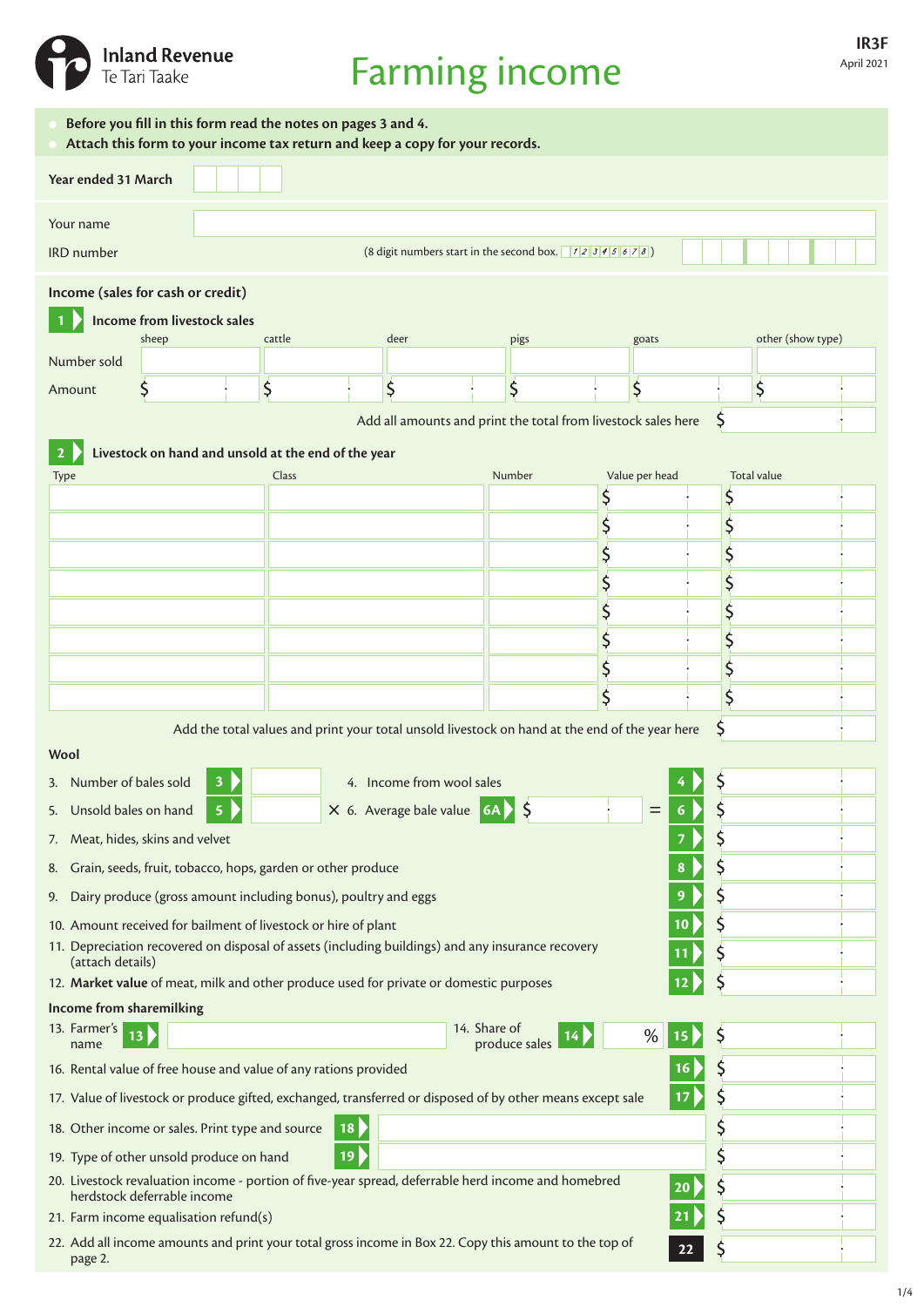

# Farming income

| Before you fill in this form read the notes on pages 3 and 4.<br>Attach this form to your income tax return and keep a copy for your records. |                                                              |                                                                                                |       |              |               |                |    |                          |  |  |  |
|-----------------------------------------------------------------------------------------------------------------------------------------------|--------------------------------------------------------------|------------------------------------------------------------------------------------------------|-------|--------------|---------------|----------------|----|--------------------------|--|--|--|
| Year ended 31 March                                                                                                                           |                                                              |                                                                                                |       |              |               |                |    |                          |  |  |  |
| Your name                                                                                                                                     |                                                              |                                                                                                |       |              |               |                |    |                          |  |  |  |
| <b>IRD</b> number                                                                                                                             |                                                              |                                                                                                |       |              |               |                |    |                          |  |  |  |
|                                                                                                                                               | Income (sales for cash or credit)                            |                                                                                                |       |              |               |                |    |                          |  |  |  |
|                                                                                                                                               | Income from livestock sales                                  |                                                                                                |       |              |               |                |    |                          |  |  |  |
|                                                                                                                                               | sheep                                                        | cattle                                                                                         | deer  |              | pigs          | goats          |    | other (show type)        |  |  |  |
| Number sold                                                                                                                                   |                                                              |                                                                                                |       |              |               |                |    |                          |  |  |  |
| Amount                                                                                                                                        | \$                                                           | \$                                                                                             | \$    |              | \$            | \$             |    | \$                       |  |  |  |
| Add all amounts and print the total from livestock sales here                                                                                 |                                                              |                                                                                                |       |              |               |                |    |                          |  |  |  |
| Livestock on hand and unsold at the end of the year<br>$\overline{2}$                                                                         |                                                              |                                                                                                |       |              |               |                |    |                          |  |  |  |
|                                                                                                                                               | Type                                                         |                                                                                                | Class |              | Number        | Value per head |    | <b>Total value</b><br>\$ |  |  |  |
|                                                                                                                                               |                                                              |                                                                                                |       |              |               |                |    | \$                       |  |  |  |
|                                                                                                                                               |                                                              |                                                                                                |       |              |               |                |    | \$                       |  |  |  |
|                                                                                                                                               |                                                              |                                                                                                |       |              |               |                |    |                          |  |  |  |
|                                                                                                                                               |                                                              |                                                                                                |       |              |               |                |    | \$                       |  |  |  |
|                                                                                                                                               |                                                              |                                                                                                |       |              |               |                |    | \$                       |  |  |  |
|                                                                                                                                               |                                                              |                                                                                                |       |              |               | \$             |    | \$                       |  |  |  |
|                                                                                                                                               |                                                              |                                                                                                |       |              |               |                |    |                          |  |  |  |
|                                                                                                                                               |                                                              |                                                                                                |       |              |               |                |    |                          |  |  |  |
|                                                                                                                                               |                                                              | Add the total values and print your total unsold livestock on hand at the end of the year here |       |              |               |                |    | S                        |  |  |  |
|                                                                                                                                               | Wool<br>3. Number of bales sold<br>4. Income from wool sales |                                                                                                |       |              |               |                |    |                          |  |  |  |
| 5. Unsold bales on hand<br>X 6. Average bale value 6A<br>$=$                                                                                  |                                                              |                                                                                                |       |              |               |                |    |                          |  |  |  |
| 5<br>6                                                                                                                                        |                                                              |                                                                                                |       |              |               |                |    |                          |  |  |  |
| Meat, hides, skins and velvet<br>7.<br>Grain, seeds, fruit, tobacco, hops, garden or other produce<br>8<br>8.                                 |                                                              |                                                                                                |       |              |               |                |    |                          |  |  |  |
| 9.                                                                                                                                            |                                                              |                                                                                                |       |              |               |                | 9  |                          |  |  |  |
| Dairy produce (gross amount including bonus), poultry and eggs<br>10. Amount received for bailment of livestock or hire of plant<br>10        |                                                              |                                                                                                |       |              |               |                |    |                          |  |  |  |
| 11. Depreciation recovered on disposal of assets (including buildings) and any insurance recovery                                             |                                                              |                                                                                                |       |              |               |                |    |                          |  |  |  |
| (attach details)<br>12. Market value of meat, milk and other produce used for private or domestic purposes<br>12                              |                                                              |                                                                                                |       |              |               |                |    |                          |  |  |  |
| Income from sharemilking                                                                                                                      |                                                              |                                                                                                |       |              |               |                |    |                          |  |  |  |
| 13. Farmer's<br>13<br>name                                                                                                                    |                                                              |                                                                                                |       | 14. Share of | produce sales | %              | 15 |                          |  |  |  |
| 16. Rental value of free house and value of any rations provided<br>16                                                                        |                                                              |                                                                                                |       |              |               |                |    | Ş                        |  |  |  |
| 17. Value of livestock or produce gifted, exchanged, transferred or disposed of by other means except sale<br>17                              |                                                              |                                                                                                |       |              |               |                |    |                          |  |  |  |
|                                                                                                                                               | 18. Other income or sales. Print type and source             | 18                                                                                             |       |              |               |                |    | Ş                        |  |  |  |
|                                                                                                                                               | 19. Type of other unsold produce on hand                     | 19                                                                                             |       |              |               |                |    | \$                       |  |  |  |
| 20. Livestock revaluation income - portion of five-year spread, deferrable herd income and homebred<br>20<br>herdstock deferrable income      |                                                              |                                                                                                |       |              |               |                |    |                          |  |  |  |
| 21. Farm income equalisation refund(s)                                                                                                        |                                                              |                                                                                                |       |              |               |                |    |                          |  |  |  |
| 22. Add all income amounts and print your total gross income in Box 22. Copy this amount to the top of<br>22<br>page 2.                       |                                                              |                                                                                                |       |              |               |                |    |                          |  |  |  |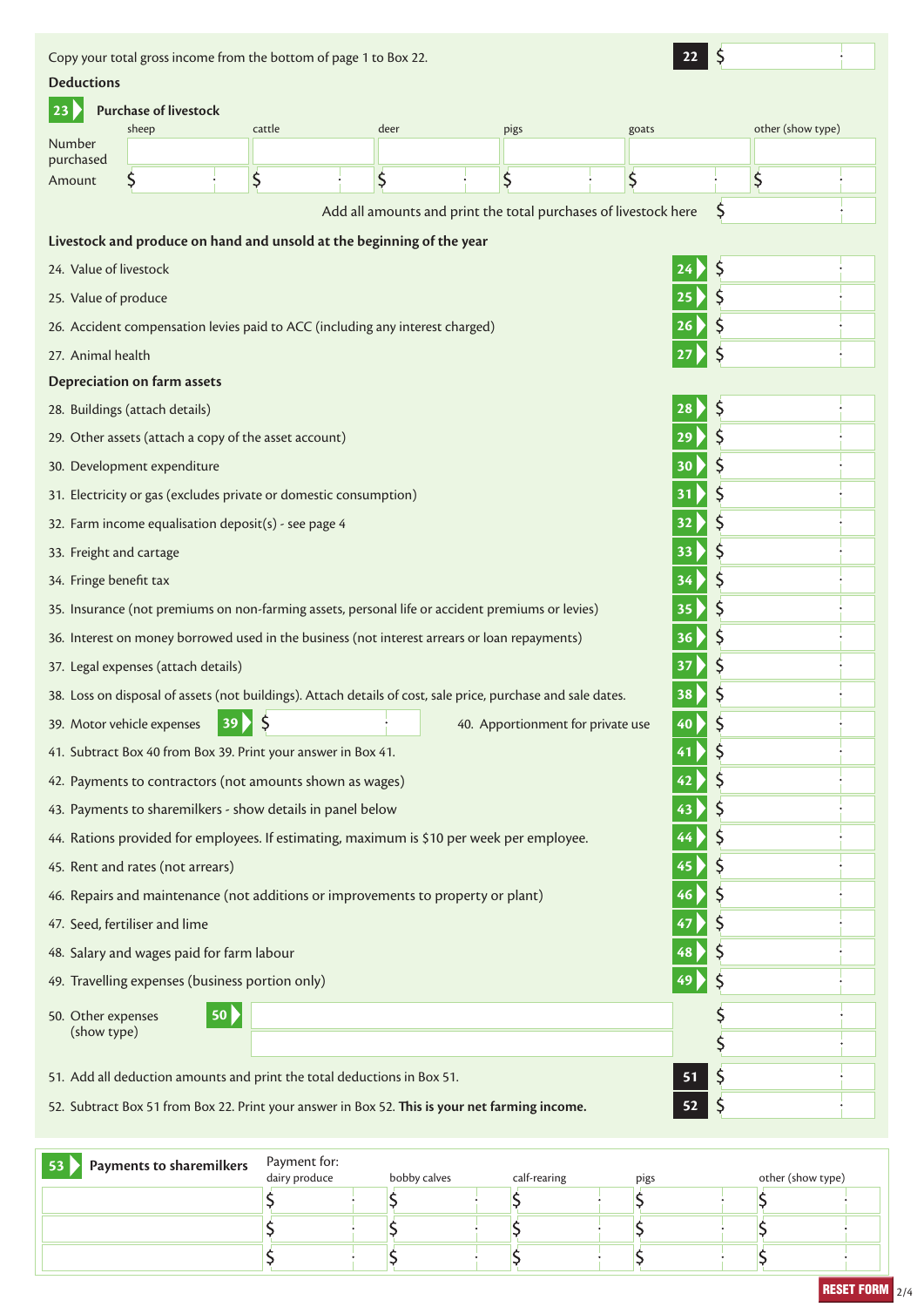Copy your total gross income from the bottom of page 1 to Box 22. **22 Deductions 23 Purchase of livestock** sheep cattle cattle deer pigs goats other (show type) Number purchased  $\zeta$  $\overline{\mathsf{S}}$  $\overline{\mathsf{S}}$ \$  $\zeta$  $\overline{\mathsf{S}}$ Amount Add all amounts and print the total purchases of livestock here  $\zeta$ **Livestock and produce on hand and unsold at the beginning of the year** 24. Value of livestock **24** \$ \$ 25. Value of produce **25**  $\zeta$ 26. Accident compensation levies paid to ACC (including any interest charged) **26** 27. Animal health **27** Ś **Depreciation on farm assets** 28. Buildings (attach details) **28** \$  $\zeta$ 29. Other assets (attach a copy of the asset account) **29**  $\zeta$ 30. Development expenditure **30** \$ 31. Electricity or gas (excludes private or domestic consumption) **31**  $\zeta$ 32. Farm income equalisation deposit(s) - see page 4 **32** \$ 33. Freight and cartage **33**  $\overline{\mathsf{S}}$ 34. Fringe benefit tax **34**  $\zeta$ 35. Insurance (not premiums on non-farming assets, personal life or accident premiums or levies) **35** 36. Interest on money borrowed used in the business (not interest arrears or loan repayments) **36**  $\zeta$  $\zeta$ 37. Legal expenses (attach details) **37**  $\overline{\mathsf{S}}$ 38. Loss on disposal of assets (not buildings). Attach details of cost, sale price, purchase and sale dates. **38**  $\zeta$ 39. Motor vehicle expenses **39** 40. Apportionment for private use **40** \$ 41. Subtract Box 40 from Box 39. Print your answer in Box 41. **41**  $\zeta$ 42. Payments to contractors (not amounts shown as wages) **42** 43. Payments to sharemilkers - show details in panel below **43**  $\zeta$  $\zeta$ 44. Rations provided for employees. If estimating, maximum is \$10 per week per employee. **44**  $\zeta$ 45. Rent and rates (not arrears) **45** \$ 46. Repairs and maintenance (not additions or improvements to property or plant) **46** \$ 47. Seed, fertiliser and lime **47**  $\zeta$ 48. Salary and wages paid for farm labour **48**  $\overline{\mathsf{S}}$ 49. Travelling expenses (business portion only) **49**  $\overline{\mathsf{S}}$ 50. Other expenses **50** (show type) Ś Ś 51. Add all deduction amounts and print the total deductions in Box 51. **51**  $\zeta$ 52. Subtract Box 51 from Box 22. Print your answer in Box 52. **This is your net farming income. 52**

| Payments to sharemilkers<br>53 | Payment for:<br>dairy produce | bobby calves |  | calf-rearing |  | pigs |  | other (show type) |  |
|--------------------------------|-------------------------------|--------------|--|--------------|--|------|--|-------------------|--|
|                                |                               |              |  |              |  |      |  |                   |  |
|                                |                               |              |  |              |  |      |  |                   |  |
|                                |                               |              |  |              |  |      |  |                   |  |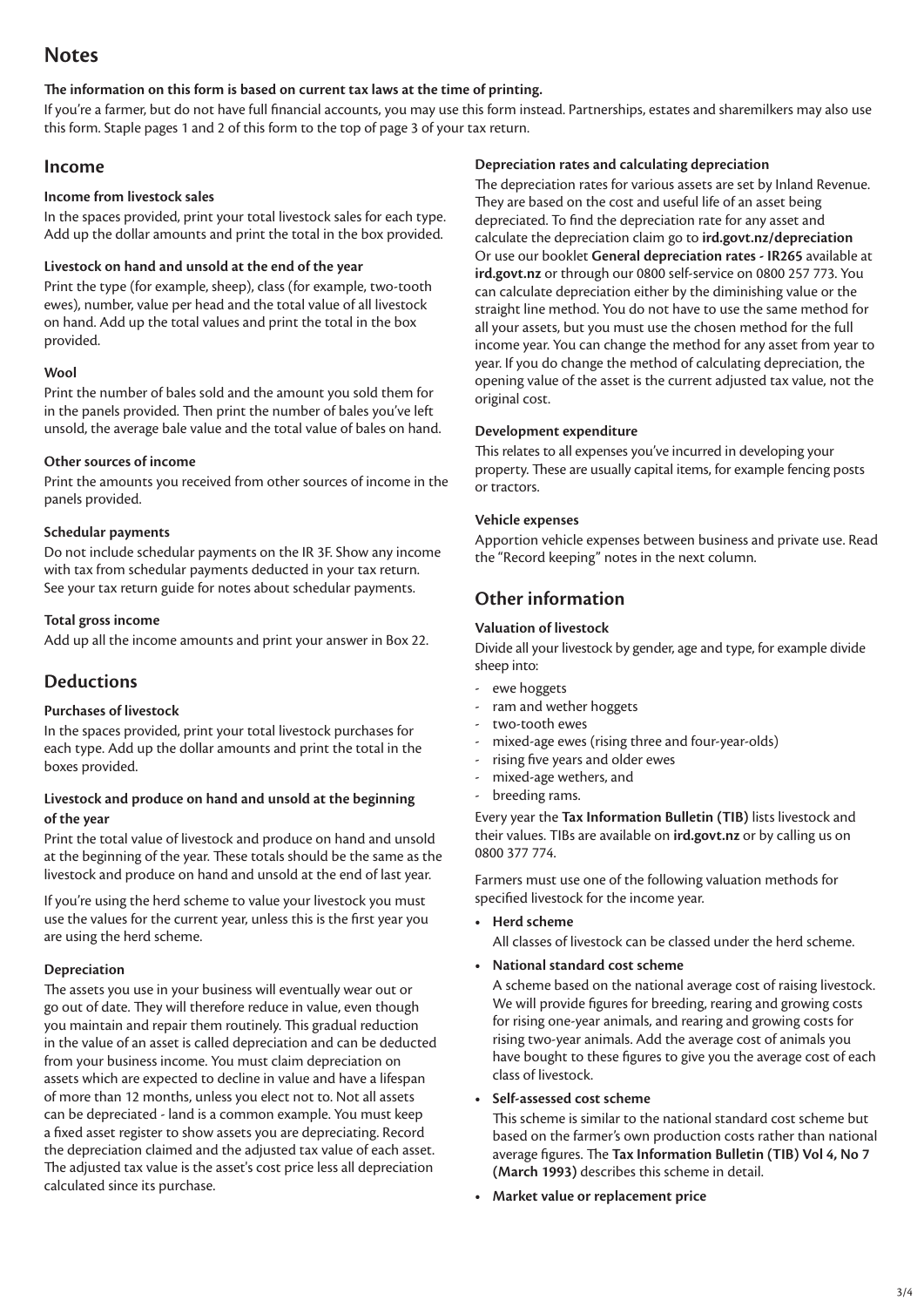# **Notes**

## **The information on this form is based on current tax laws at the time of printing.**

If you're a farmer, but do not have full financial accounts, you may use this form instead. Partnerships, estates and sharemilkers may also use this form. Staple pages 1 and 2 of this form to the top of page 3 of your tax return.

## **Income**

#### **Income from livestock sales**

In the spaces provided, print your total livestock sales for each type. Add up the dollar amounts and print the total in the box provided.

## **Livestock on hand and unsold at the end of the year**

Print the type (for example, sheep), class (for example, two-tooth ewes), number, value per head and the total value of all livestock on hand. Add up the total values and print the total in the box provided.

## **Wool**

Print the number of bales sold and the amount you sold them for in the panels provided. Then print the number of bales you've left unsold, the average bale value and the total value of bales on hand.

## **Other sources of income**

Print the amounts you received from other sources of income in the panels provided.

## **Schedular payments**

Do not include schedular payments on the IR 3F. Show any income with tax from schedular payments deducted in your tax return. See your tax return guide for notes about schedular payments.

## **Total gross income**

Add up all the income amounts and print your answer in Box 22.

## **Deductions**

## **Purchases of livestock**

In the spaces provided, print your total livestock purchases for each type. Add up the dollar amounts and print the total in the boxes provided.

## **Livestock and produce on hand and unsold at the beginning of the year**

Print the total value of livestock and produce on hand and unsold at the beginning of the year. These totals should be the same as the livestock and produce on hand and unsold at the end of last year.

If you're using the herd scheme to value your livestock you must use the values for the current year, unless this is the first year you are using the herd scheme.

## **Depreciation**

The assets you use in your business will eventually wear out or go out of date. They will therefore reduce in value, even though you maintain and repair them routinely. This gradual reduction in the value of an asset is called depreciation and can be deducted from your business income. You must claim depreciation on assets which are expected to decline in value and have a lifespan of more than 12 months, unless you elect not to. Not all assets can be depreciated - land is a common example. You must keep a fixed asset register to show assets you are depreciating. Record the depreciation claimed and the adjusted tax value of each asset. The adjusted tax value is the asset's cost price less all depreciation calculated since its purchase.

## **Depreciation rates and calculating depreciation**

The depreciation rates for various assets are set by Inland Revenue. They are based on the cost and useful life of an asset being depreciated. To find the depreciation rate for any asset and calculate the depreciation claim go to **ird.govt.nz/depreciation** Or use our booklet **General depreciation rates - IR265** available at **ird.govt.nz** or through our 0800 self-service on 0800 257 773. You can calculate depreciation either by the diminishing value or the straight line method. You do not have to use the same method for all your assets, but you must use the chosen method for the full income year. You can change the method for any asset from year to year. If you do change the method of calculating depreciation, the opening value of the asset is the current adjusted tax value, not the original cost.

## **Development expenditure**

This relates to all expenses you've incurred in developing your property. These are usually capital items, for example fencing posts or tractors.

## **Vehicle expenses**

Apportion vehicle expenses between business and private use. Read the "Record keeping" notes in the next column.

# **Other information**

## **Valuation of livestock**

Divide all your livestock by gender, age and type, for example divide sheep into:

- ewe hoggets
- ram and wether hoggets
- two-tooth ewes
- mixed-age ewes (rising three and four-year-olds)
- rising five years and older ewes
- mixed-age wethers, and
- breeding rams.

Every year the **Tax Information Bulletin (TIB)** lists livestock and their values. TIBs are available on **ird.govt.nz** or by calling us on 0800 377 774.

Farmers must use one of the following valuation methods for specified livestock for the income year.

**• Herd scheme**

All classes of livestock can be classed under the herd scheme.

**• National standard cost scheme**

 A scheme based on the national average cost of raising livestock. We will provide figures for breeding, rearing and growing costs for rising one-year animals, and rearing and growing costs for rising two-year animals. Add the average cost of animals you have bought to these figures to give you the average cost of each class of livestock.

**• Self-assessed cost scheme**

 This scheme is similar to the national standard cost scheme but based on the farmer's own production costs rather than national average figures. The **Tax Information Bulletin (TIB) Vol 4, No 7 (March 1993)** describes this scheme in detail.

**• Market value or replacement price**